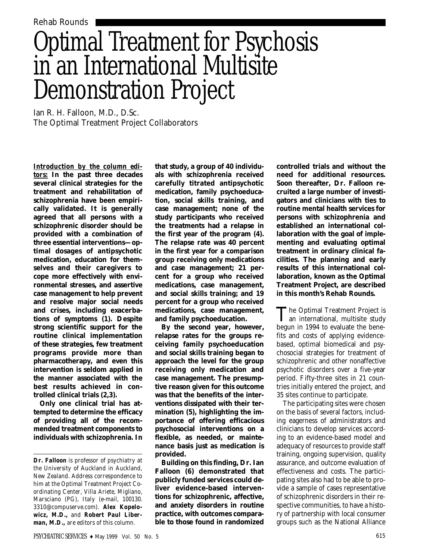# Optimal Treatment for Psychosis in an International Multisite Demonstration Project

Ian R. H. Falloon, M.D., D.Sc. The Optimal Treatment Project Collaborators

*Introduction by the column editors:* **In the past three decades several clinical strategies for the treatment and rehabilitation of schizophrenia have been empirically validated. It is generally agreed that all persons with a schizophrenic disorder should be provided with a combination of three essential interventions— optimal dosages of antipsychotic medication, education for themselves and their caregivers to cope more effectively with environmental stresses, and assertive case management to help prevent and resolve major social needs and crises, including exacerbations of symptoms (1). Despite strong scientific support for the routine clinical implementation of these strategies, few treatment programs provide more than pharmacotherapy, and even this intervention is seldom applied in the manner associated with the best results achieved in controlled clinical trials (2,3).**

**Only one clinical trial has attempted to determine the efficacy of providing all of the recommended treatment components to individuals with schizophrenia. In** **that study, a group of 40 individuals with schizophrenia received carefully titrated antipsychotic medication, family psychoeducation, social skills training, and case management; none of the study participants who received the treatments had a relapse in the first year of the program (4). The relapse rate was 40 percent in the first year for a comparison group receiving only medications and case management; 21 percent for a group who received medications, case management, and social skills training; and 19 percent for a group who received medications, case management, and family psychoeducation.**

**By the second year, however, relapse rates for the groups receiving family psychoeducation and social skills training began to approach the level for the group receiving only medication and case management. The presumptive reason given for this outcome was that the benefits of the interventions dissipated with their termination (5), highlighting the importance of offering efficacious psychosocial interventions on a flexible, as needed, or maintenance basis just as medication is provided.**

**Building on this finding, Dr. Ian Falloon (6) demonstrated that publicly funded services could deliver evidence-based interventions for schizophrenic, affective, and anxiety disorders in routine practice, with outcomes comparable to those found in randomized**

**controlled trials and without the need for additional resources. Soon thereafter, Dr. Falloon recruited a large number of investigators and clinicians with ties to routine mental health services for persons with schizophrenia and established an international collaboration with the goal of implementing and evaluating optimal treatment in ordinary clinical facilities. The planning and early results of this international collaboration, known as the Optimal Treatment Project, are described in this month's Rehab Rounds.**

The Optimal Treatment Project is<br>
an international, multisite study an international, multisite study begun in 1994 to evaluate the benefits and costs of applying evidencebased, optimal biomedical and psychosocial strategies for treatment of schizophrenic and other nonaffective psychotic disorders over a five-year period. Fifty-three sites in 21 countries initially entered the project, and 35 sites continue to participate.

The participating sites were chosen on the basis of several factors, including eagerness of administrators and clinicians to develop services according to an evidence-based model and adequacy of resources to provide staff training, ongoing supervision, quality assurance, and outcome evaluation of effectiveness and costs. The participating sites also had to be able to provide a sample of cases representative of schizophrenic disorders in their respective communities, to have a history of partnership with local consumer groups such as the National Alliance

*Dr. Falloon is professor of psychiatry at the University of Auckland in Auckland, New Zealand. Address correspondence to him at the Optimal Treatment Project Coordinating Center, Villa Ariete, Migliano, Marsciano (PG), Italy (e-mail, 100130. 3310@compuserve.com). Alex Kopelowicz, M.D., and Robert Paul Liberman, M.D., are editors of this column.*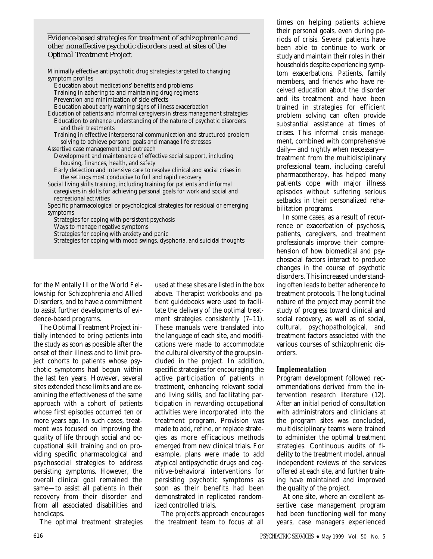## *Evidence-based strategies for treatment of schizophrenic and other nonaffective psychotic disorders used at sites of the Optimal Treatment Project*

Minimally effective antipsychotic drug strategies targeted to changing symptom profiles

Education about medications' benefits and problems Training in adhering to and maintaining drug regimens Prevention and minimization of side effects

Education about early warning signs of illness exacerbation Education of patients and informal caregivers in stress management strategies

Education to enhance understanding of the nature of psychotic disorders and their treatments

Training in effective interpersonal communication and structured problem solving to achieve personal goals and manage life stresses

Assertive case management and outreach

Development and maintenance of effective social support, including housing, finances, health, and safety

Early detection and intensive care to resolve clinical and social crises in the settings most conducive to full and rapid recovery

Social living skills training, including training for patients and informal caregivers in skills for achieving personal goals for work and social and recreational activities

Specific pharmacological or psychological strategies for residual or emerging symptoms

Strategies for coping with persistent psychosis

Ways to manage negative symptoms

Strategies for coping with anxiety and panic

Strategies for coping with mood swings, dysphoria, and suicidal thoughts

for the Mentally Ill or the World Fellowship for Schizophrenia and Allied Disorders, and to have a commitment to assist further developments of evidence-based programs.

The Optimal Treatment Project initially intended to bring patients into the study as soon as possible after the onset of their illness and to limit project cohorts to patients whose psychotic symptoms had begun within the last ten years. However, several sites extended these limits and are examining the effectiveness of the same approach with a cohort of patients whose first episodes occurred ten or more years ago. In such cases, treatment was focused on improving the quality of life through social and occupational skill training and on providing specific pharmacological and psychosocial strategies to address persisting symptoms. However, the overall clinical goal remained the same— to assist all patients in their recovery from their disorder and from all associated disabilities and handicaps.

The optimal treatment strategies

used at these sites are listed in the box above. Therapist workbooks and patient guidebooks were used to facilitate the delivery of the optimal treatment strategies consistently  $(7-11)$ . These manuals were translated into the language of each site, and modifications were made to accommodate the cultural diversity of the groups included in the project. In addition, specific strategies for encouraging the active participation of patients in treatment, enhancing relevant social and living skills, and facilitating participation in rewarding occupational activities were incorporated into the treatment program. Provision was made to add, refine, or replace strategies as more efficacious methods emerged from new clinical trials. For example, plans were made to add atypical antipsychotic drugs and cognitive-behavioral interventions for persisting psychotic symptoms as soon as their benefits had been demonstrated in replicated randomized controlled trials.

The project's approach encourages the treatment team to focus at all

times on helping patients achieve their personal goals, even during periods of crisis. Several patients have been able to continue to work or study and maintain their roles in their households despite experiencing symptom exacerbations. Patients, family members, and friends who have received education about the disorder and its treatment and have been trained in strategies for efficient problem solving can often provide substantial assistance at times of crises. This informal crisis management, combined with comprehensive daily— and nightly when necessary treatment from the multidisciplinary professional team, including careful pharmacotherapy, has helped many patients cope with major illness episodes without suffering serious setbacks in their personalized rehabilitation programs.

In some cases, as a result of recurrence or exacerbation of psychosis, patients, caregivers, and treatment professionals improve their comprehension of how biomedical and psychosocial factors interact to produce changes in the course of psychotic disorders. This increased understanding often leads to better adherence to treatment protocols. The longitudinal nature of the project may permit the study of progress toward clinical and social recovery, as well as of social, cultural, psychopathological, and treatment factors associated with the various courses of schizophrenic disorders.

## **Implementation**

Program development followed recommendations derived from the intervention research literature (12). After an initial period of consultation with administrators and clinicians at the program sites was concluded, multidisciplinary teams were trained to administer the optimal treatment strategies. Continuous audits of fidelity to the treatment model, annual independent reviews of the services offered at each site, and further training have maintained and improved the quality of the project.

At one site, where an excellent assertive case management program had been functioning well for many years, case managers experienced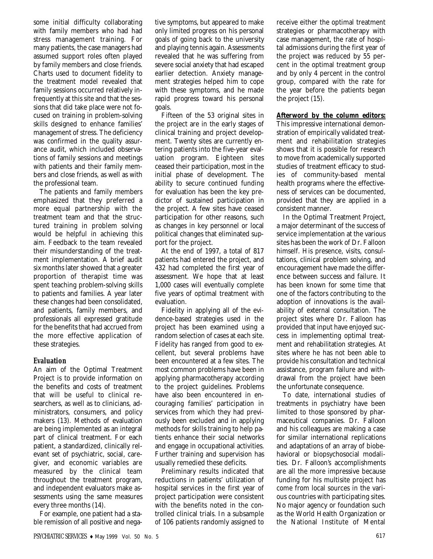some initial difficulty collaborating with family members who had had stress management training. For many patients, the case managers had assumed support roles often played by family members and close friends. Charts used to document fidelity to the treatment model revealed that family sessions occurred relatively infrequently at this site and that the sessions that did take place were not focused on training in problem-solving skills designed to enhance families' management of stress. The deficiency was confirmed in the quality assurance audit, which included observations of family sessions and meetings with patients and their family members and close friends, as well as with the professional team.

The patients and family members emphasized that they preferred a more equal partnership with the treatment team and that the structured training in problem solving would be helpful in achieving this aim. Feedback to the team revealed their misunderstanding of the treatment implementation. A brief audit six months later showed that a greater proportion of therapist time was spent teaching problem-solving skills to patients and families. A year later these changes had been consolidated, and patients, family members, and professionals all expressed gratitude for the benefits that had accrued from the more effective application of these strategies.

## **Evaluation**

An aim of the Optimal Treatment Project is to provide information on the benefits and costs of treatment that will be useful to clinical researchers, as well as to clinicians, administrators, consumers, and policy makers (13). Methods of evaluation are being implemented as an integral part of clinical treatment. For each patient, a standardized, clinically relevant set of psychiatric, social, caregiver, and economic variables are measured by the clinical team throughout the treatment program, and independent evaluators make assessments using the same measures every three months (14).

For example, one patient had a stable remission of all positive and negative symptoms, but appeared to make only limited progress on his personal goals of going back to the university and playing tennis again. Assessments revealed that he was suffering from severe social anxiety that had escaped earlier detection. Anxiety management strategies helped him to cope with these symptoms, and he made rapid progress toward his personal goals.

Fifteen of the 53 original sites in the project are in the early stages of clinical training and project development. Twenty sites are currently entering patients into the five-year evaluation program. Eighteen sites ceased their participation, most in the initial phase of development. The ability to secure continued funding for evaluation has been the key predictor of sustained participation in the project. A few sites have ceased participation for other reasons, such as changes in key personnel or local political changes that eliminated support for the project.

At the end of 1997, a total of 817 patients had entered the project, and 432 had completed the first year of assessment. We hope that at least 1,000 cases will eventually complete five years of optimal treatment with evaluation.

Fidelity in applying all of the evidence-based strategies used in the project has been examined using a random selection of cases at each site. Fidelity has ranged from good to excellent, but several problems have been encountered at a few sites. The most common problems have been in applying pharmacotherapy according to the project guidelines. Problems have also been encountered in encouraging families' participation in services from which they had previously been excluded and in applying methods for skills training to help patients enhance their social networks and engage in occupational activities. Further training and supervision has usually remedied these deficits.

Preliminary results indicated that reductions in patients' utilization of hospital services in the first year of project participation were consistent with the benefits noted in the controlled clinical trials. In a subsample of 106 patients randomly assigned to

receive either the optimal treatment strategies or pharmacotherapy with case management, the rate of hospital admissions during the first year of the project was reduced by 55 percent in the optimal treatment group and by only 4 percent in the control group, compared with the rate for the year before the patients began the project (15).

## *Afterword by the column editors:*

This impressive international demonstration of empirically validated treatment and rehabilitation strategies shows that it is possible for research to move from academically supported studies of treatment efficacy to studies of community-based mental health programs where the effectiveness of services can be documented, provided that they are applied in a consistent manner.

In the Optimal Treatment Project, a major determinant of the success of service implementation at the various sites has been the work of Dr. Falloon himself. His presence, visits, consultations, clinical problem solving, and encouragement have made the difference between success and failure. It has been known for some time that one of the factors contributing to the adoption of innovations is the availability of external consultation. The project sites where Dr. Falloon has provided that input have enjoyed success in implementing optimal treatment and rehabilitation strategies. At sites where he has not been able to provide his consultation and technical assistance, program failure and withdrawal from the project have been the unfortunate consequence.

To date, international studies of treatments in psychiatry have been limited to those sponsored by pharmaceutical companies. Dr. Falloon and his colleagues are making a case for similar international replications and adaptations of an array of biobehavioral or biopsychosocial modalities. Dr. Falloon's accomplishments are all the more impressive because funding for his multisite project has come from local sources in the various countries with participating sites. No major agency or foundation such as the World Health Organization or the National Institute of Mental